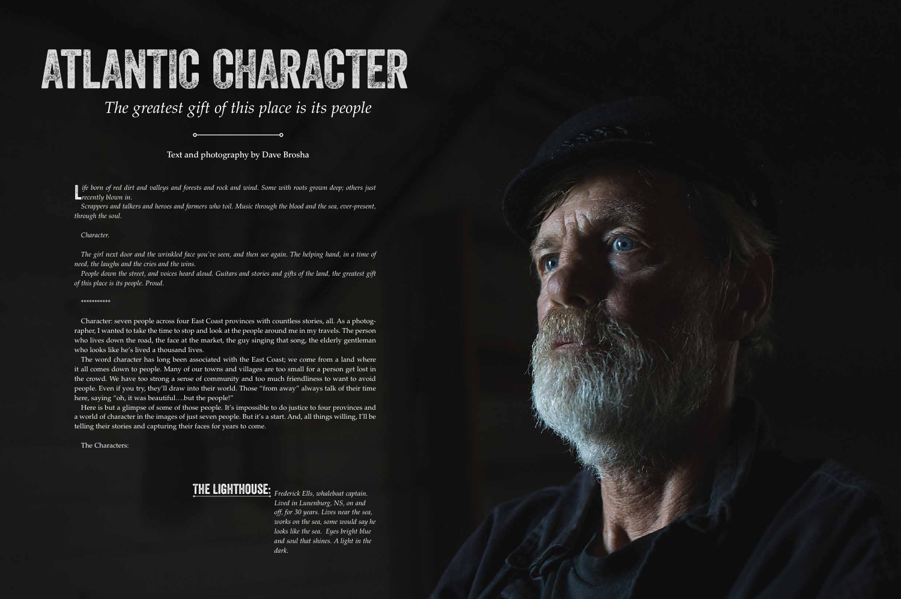# AtLANTIC CHARACTER

**L** ife born of red dirt<br>**L** recently blown in. *ife born of red dirt and valleys and forests and rock and wind. Some with roots grown deep; others just* 

*Scrappers and talkers and heroes and farmers who toil. Music through the blood and the sea, ever-present, through the soul.* 

#### *Character.*

*The girl next door and the wrinkled face you've seen, and then see again. The helping hand, in a time of need, the laughs and the cries and the wins.*

The word character has long been associated with the East Coast; we come from a land where it all comes down to people. Many of our towns and villages are too small for a person get lost in the crowd. We have too strong a sense of community and too much friendliness to want to avoid people. Even if you try, they'll draw into their world. Those "from away" always talk of their time here, saying "oh, it was beautiful...but the people!"

*People down the street, and voices heard aloud. Guitars and stories and gifts of the land, the greatest gift of this place is its people. Proud.* 

#### \*\*\*\*\*\*\*\*\*\*\*

Character: seven people across four East Coast provinces with countless stories, all. As a photographer, I wanted to take the time to stop and look at the people around me in my travels. The person who lives down the road, the face at the market, the guy singing that song, the elderly gentleman who looks like he's lived a thousand lives.

Here is but a glimpse of some of those people. It's impossible to do justice to four provinces and a world of character in the images of just seven people. But it's a start. And, all things willing, I'll be telling their stories and capturing their faces for years to come.

The Characters:

## The Lighthouse: *Frederick Ells, whaleboat captain.*

*Lived in Lunenburg, NS, on and off, for 30 years. Lives near the sea, works on the sea, some would say he looks like the sea. Eyes bright blue and soul that shines. A light in the dark.*



# *The greatest gift of this place is its people*

#### Text and photography by Dave Brosha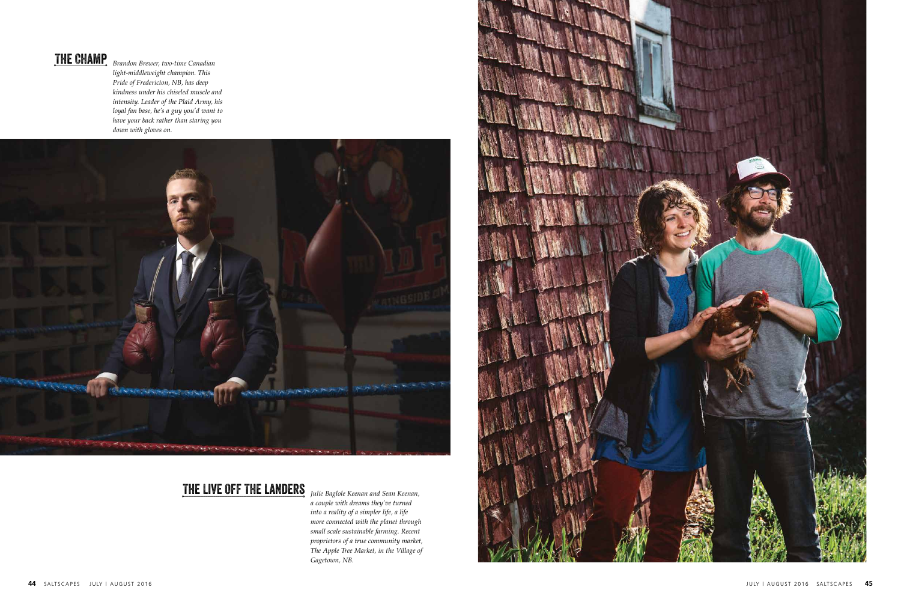

*Brandon Brewer, two-time Canadian light-middleweight champion. This Pride of Fredericton, NB, has deep kindness under his chiseled muscle and intensity. Leader of the Plaid Army, his loyal fan base, he's a guy you'd want to have your back rather than staring you down with gloves on.* 



#### The Champ

*Julie Baglole Keenan and Sean Keenan, a couple with dreams they've turned into a reality of a simpler life, a life more connected with the planet through small scale sustainable farming. Recent proprietors of a true community market, The Apple Tree Market, in the Village of Gagetown, NB.*

#### The Live Off The Landers